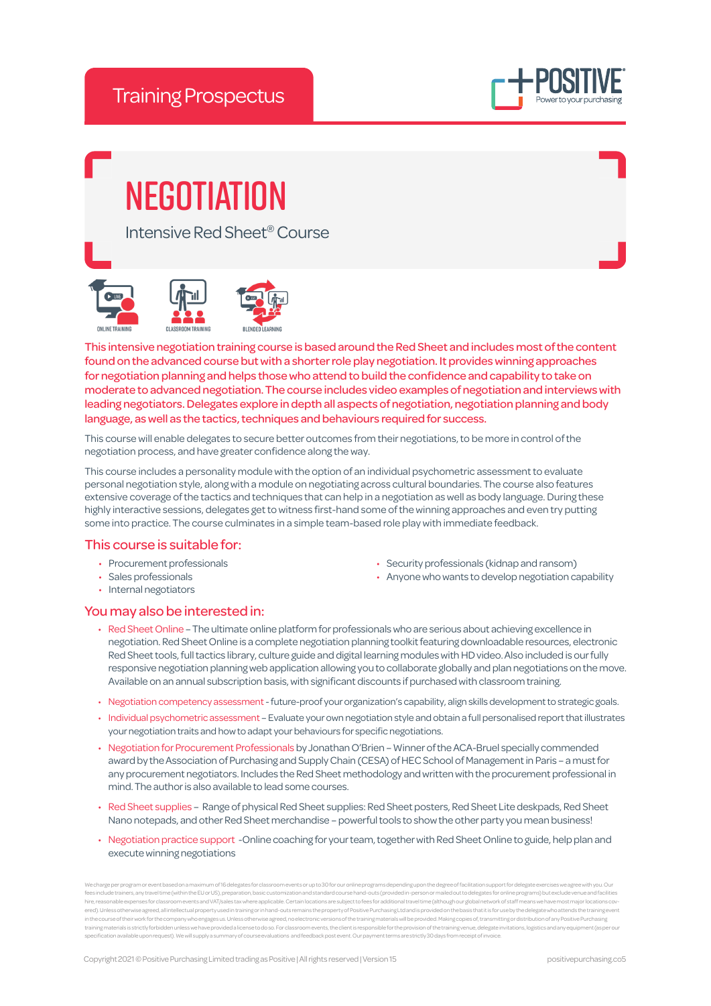

# **NEGOTIATION**

Intensive Red Sheet® Course





This intensive negotiation training course is based around the Red Sheet and includes most of the content found on the advanced course but with a shorter role play negotiation. It provides winning approaches for negotiation planning and helps those who attend to build the confidence and capability to take on moderate to advanced negotiation. The course includes video examples of negotiation and interviews with leading negotiators. Delegates explore in depth all aspects of negotiation, negotiation planning and body language, as well as the tactics, techniques and behaviours required for success.

This course will enable delegates to secure better outcomes from their negotiations, to be more in control of the negotiation process, and have greater confidence along the way.

This course includes a personality module with the option of an individual psychometric assessment to evaluate personal negotiation style, along with a module on negotiating across cultural boundaries. The course also features extensive coverage of the tactics and techniques that can help in a negotiation as well as body language. During these highly interactive sessions, delegates get to witness first-hand some of the winning approaches and even try putting some into practice. The course culminates in a simple team-based role play with immediate feedback.

## This course is suitable for:

- Procurement professionals
- Sales professionals
- Internal negotiators

# You may also be interested in:

- Security professionals (kidnap and ransom)
- Anyone who wants to develop negotiation capability
- Red Sheet Online The ultimate online platform for professionals who are serious about achieving excellence in negotiation. Red Sheet Online is a complete negotiation planning toolkit featuring downloadable resources, electronic Red Sheet tools, full tactics library, culture guide and digital learning modules with HD video. Also included is our fully responsive negotiation planning web application allowing you to collaborate globally and plan negotiations on the move. Available on an annual subscription basis, with significant discounts if purchased with classroom training.
- Negotiation competency assessment future-proof your organization's capability, align skills development to strategic goals.
- Individual psychometric assessment Evaluate your own negotiation style and obtain a full personalised report that illustrates your negotiation traits and how to adapt your behaviours for specific negotiations.
- Negotiation for Procurement Professionals by Jonathan O'Brien Winner of the ACA-Bruel specially commended award by the Association of Purchasing and Supply Chain (CESA) of HEC School of Management in Paris – a must for any procurement negotiators. Includes the Red Sheet methodology and written with the procurement professional in mind. The author is also available to lead some courses.
- Red Sheet supplies Range of physical Red Sheet supplies: Red Sheet posters, Red Sheet Lite deskpads, Red Sheet Nano notepads, and other Red Sheet merchandise – powerful tools to show the other party you mean business!
- Negotiation practice support -Online coaching for your team, together with Red Sheet Online to guide, help plan and execute winning negotiations

ents or up to 30 for our online programs depending upon the degree of facilitation fees include trainers, any travel time (within the EU or US), preparation, basic customization and standard course hand-outs (provided in-person or mailed out to delegates for online programs) but exclude yenue and facilit hire, reasonable expenses for classroom events and VAT/sales tax where applicable. Certain locations are subject to fees for additional travel time (although our global network of staff means we have most major locations ered). Unless otherwise agreed, all intellectual property used in training or in hand-outs remains the property of Positive Purchasing Ltd and is provided on the basis that it is for use by the delegate who attends the tra training materials is strictly forbidden unless we have provided a license to do so. For classroom events, the client is responsible for the provision of the training venue, delegate invitations, logistics and any equipment (as per our specification available upon request upon request to the supply and supply and supply and supply and receipt<br>In request). We will supply a summary of course evaluations and feedback post event. Our payment te